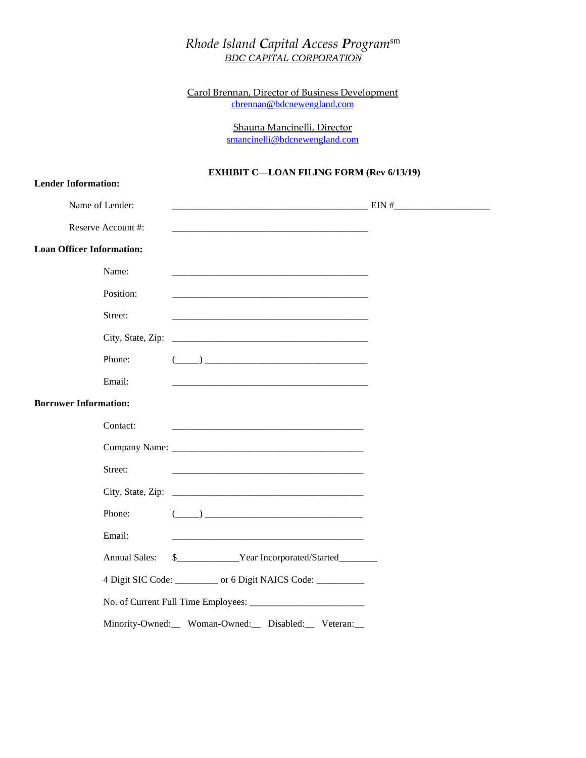## *Rhode Island Capital Access Program*sm *BDC CAPITAL CORPORATION*

Carol Brennan, Director of Business Development [cbrennan@bdcnewengland.com](mailto:cbrennan@bdcnewengland.com)

> Shauna Mancinelli, Director [smancinelli@bdcnewengland.com](mailto:cbrennan@bdcnewengland.com)

## **EXHIBIT C—LOAN FILING FORM (Rev 6/13/19)**

| <b>Lender Information:</b>                                                                                                                                                                                                                                                                                                                                                    |  |
|-------------------------------------------------------------------------------------------------------------------------------------------------------------------------------------------------------------------------------------------------------------------------------------------------------------------------------------------------------------------------------|--|
| Name of Lender:                                                                                                                                                                                                                                                                                                                                                               |  |
| Reserve Account #:                                                                                                                                                                                                                                                                                                                                                            |  |
| <b>Loan Officer Information:</b>                                                                                                                                                                                                                                                                                                                                              |  |
| Name:                                                                                                                                                                                                                                                                                                                                                                         |  |
| Position:                                                                                                                                                                                                                                                                                                                                                                     |  |
| Street:                                                                                                                                                                                                                                                                                                                                                                       |  |
| City, State, Zip:                                                                                                                                                                                                                                                                                                                                                             |  |
| $\begin{picture}(20,10) \put(0,0){\vector(1,0){100}} \put(15,0){\vector(1,0){100}} \put(15,0){\vector(1,0){100}} \put(15,0){\vector(1,0){100}} \put(15,0){\vector(1,0){100}} \put(15,0){\vector(1,0){100}} \put(15,0){\vector(1,0){100}} \put(15,0){\vector(1,0){100}} \put(15,0){\vector(1,0){100}} \put(15,0){\vector(1,0){100}} \put(15,0){\vector(1,0){100}} \$<br>Phone: |  |
| Email:                                                                                                                                                                                                                                                                                                                                                                        |  |
| <b>Borrower Information:</b>                                                                                                                                                                                                                                                                                                                                                  |  |
| Contact:                                                                                                                                                                                                                                                                                                                                                                      |  |
|                                                                                                                                                                                                                                                                                                                                                                               |  |
| Street:<br><u> 1989 - Johann Barn, mars an t-Amerikaansk politiker (* 1958)</u>                                                                                                                                                                                                                                                                                               |  |
|                                                                                                                                                                                                                                                                                                                                                                               |  |
| Phone:                                                                                                                                                                                                                                                                                                                                                                        |  |
| Email:                                                                                                                                                                                                                                                                                                                                                                        |  |
| <b>Annual Sales:</b><br>\$________________Year Incorporated/Started__________                                                                                                                                                                                                                                                                                                 |  |
| 4 Digit SIC Code: __________ or 6 Digit NAICS Code: _________                                                                                                                                                                                                                                                                                                                 |  |
|                                                                                                                                                                                                                                                                                                                                                                               |  |
| Minority-Owned:__ Woman-Owned:__ Disabled:__ Veteran:__                                                                                                                                                                                                                                                                                                                       |  |